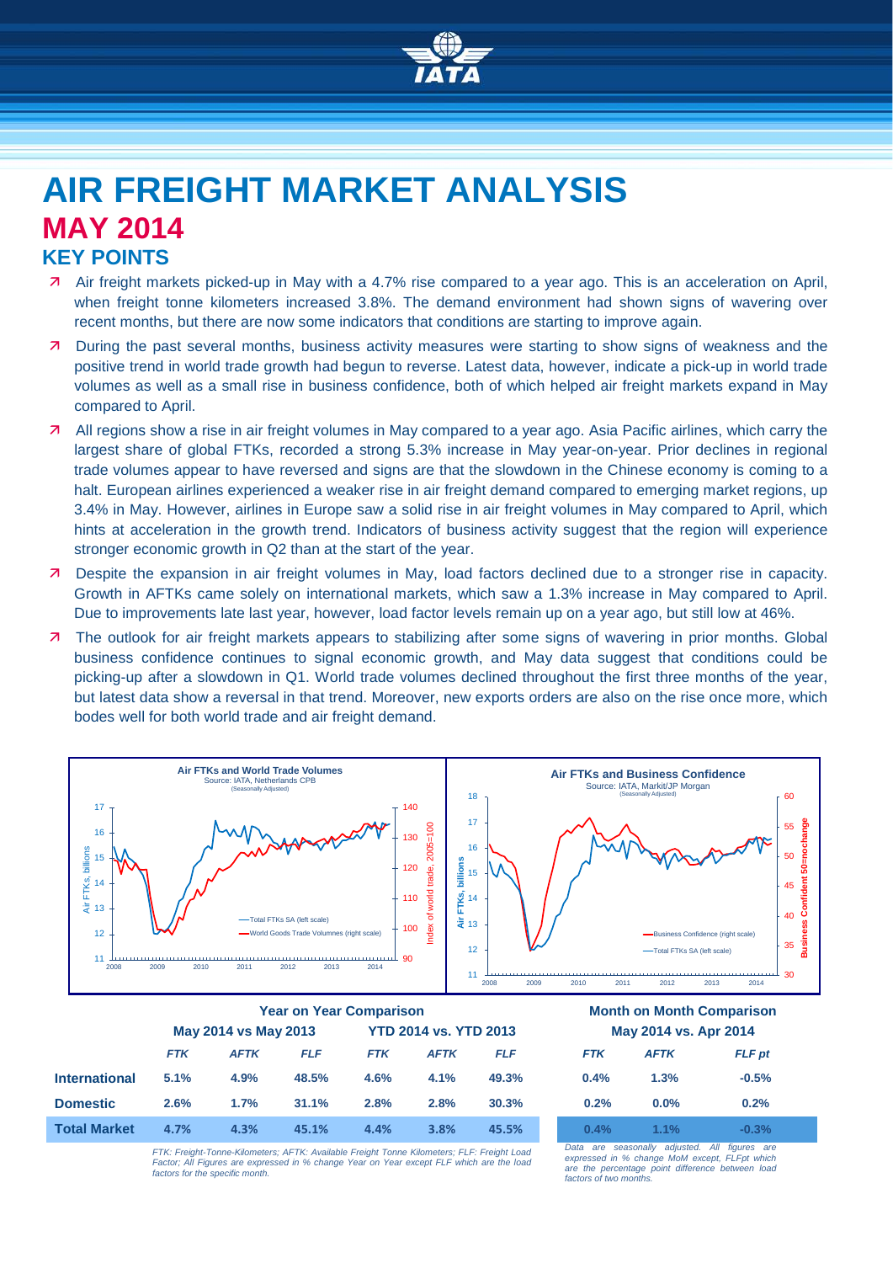

## **AIR FREIGHT MARKET ANALYSIS MAY 2014 KEY POINTS**

- Air freight markets picked-up in May with a 4.7% rise compared to a year ago. This is an acceleration on April, when freight tonne kilometers increased 3.8%. The demand environment had shown signs of wavering over recent months, but there are now some indicators that conditions are starting to improve again.
- **7** During the past several months, business activity measures were starting to show signs of weakness and the positive trend in world trade growth had begun to reverse. Latest data, however, indicate a pick-up in world trade volumes as well as a small rise in business confidence, both of which helped air freight markets expand in May compared to April.
- All regions show a rise in air freight volumes in May compared to a year ago. Asia Pacific airlines, which carry the largest share of global FTKs, recorded a strong 5.3% increase in May year-on-year. Prior declines in regional trade volumes appear to have reversed and signs are that the slowdown in the Chinese economy is coming to a halt. European airlines experienced a weaker rise in air freight demand compared to emerging market regions, up 3.4% in May. However, airlines in Europe saw a solid rise in air freight volumes in May compared to April, which hints at acceleration in the growth trend. Indicators of business activity suggest that the region will experience stronger economic growth in Q2 than at the start of the year.
- Despite the expansion in air freight volumes in May, load factors declined due to a stronger rise in capacity. Growth in AFTKs came solely on international markets, which saw a 1.3% increase in May compared to April. Due to improvements late last year, however, load factor levels remain up on a year ago, but still low at 46%.
- 7 The outlook for air freight markets appears to stabilizing after some signs of wavering in prior months. Global business confidence continues to signal economic growth, and May data suggest that conditions could be picking-up after a slowdown in Q1. World trade volumes declined throughout the first three months of the year, but latest data show a reversal in that trend. Moreover, new exports orders are also on the rise once more, which bodes well for both world trade and air freight demand.



|                      | <b>Year on Year Comparison</b> |             |            |                              |             |            | <b>Month on Month Comparison</b> |             |               |
|----------------------|--------------------------------|-------------|------------|------------------------------|-------------|------------|----------------------------------|-------------|---------------|
|                      | May 2014 vs May 2013           |             |            | <b>YTD 2014 vs. YTD 2013</b> |             |            | May 2014 vs. Apr 2014            |             |               |
|                      | <b>FTK</b>                     | <b>AFTK</b> | <b>FLF</b> | <b>FTK</b>                   | <b>AFTK</b> | <b>FLF</b> | <b>FTK</b>                       | <b>AFTK</b> | <b>FLF</b> pt |
| <b>International</b> | 5.1%                           | 4.9%        | 48.5%      | 4.6%                         | 4.1%        | 49.3%      | 0.4%                             | 1.3%        | $-0.5%$       |
| <b>Domestic</b>      | 2.6%                           | 1.7%        | 31.1%      | 2.8%                         | 2.8%        | 30.3%      | 0.2%                             | $0.0\%$     | 0.2%          |
| <b>Total Market</b>  | 4.7%                           | 4.3%        | 45.1%      | 4.4%                         | 3.8%        | 45.5%      | $0.4\%$                          | 1.1%        | $-0.3\%$      |

*FTK: Freight-Tonne-Kilometers; AFTK: Available Freight Tonne Kilometers; FLF: Freight Load Factor; All Figures are expressed in % change Year on Year except FLF which are the load factors for the specific month.*

*Data are seasonally adjusted. All figures are expressed in % change MoM except, FLFpt which are the percentage point difference between load factors of two months.*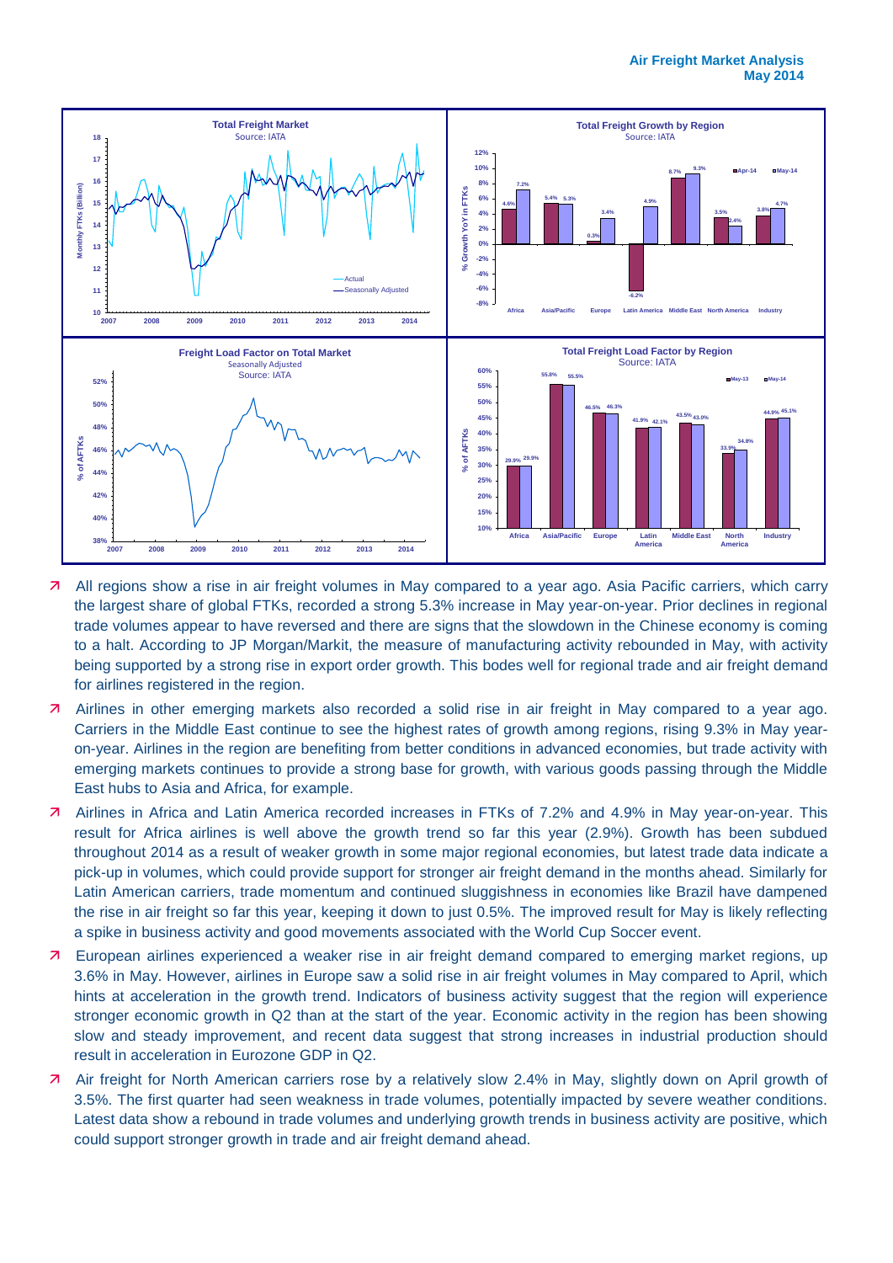

- All regions show a rise in air freight volumes in May compared to a year ago. Asia Pacific carriers, which carry the largest share of global FTKs, recorded a strong 5.3% increase in May year-on-year. Prior declines in regional trade volumes appear to have reversed and there are signs that the slowdown in the Chinese economy is coming to a halt. According to JP Morgan/Markit, the measure of manufacturing activity rebounded in May, with activity being supported by a strong rise in export order growth. This bodes well for regional trade and air freight demand for airlines registered in the region.
- Airlines in other emerging markets also recorded a solid rise in air freight in May compared to a year ago. Carriers in the Middle East continue to see the highest rates of growth among regions, rising 9.3% in May yearon-year. Airlines in the region are benefiting from better conditions in advanced economies, but trade activity with emerging markets continues to provide a strong base for growth, with various goods passing through the Middle East hubs to Asia and Africa, for example.
- 7 Airlines in Africa and Latin America recorded increases in FTKs of 7.2% and 4.9% in May year-on-year. This result for Africa airlines is well above the growth trend so far this year (2.9%). Growth has been subdued throughout 2014 as a result of weaker growth in some major regional economies, but latest trade data indicate a pick-up in volumes, which could provide support for stronger air freight demand in the months ahead. Similarly for Latin American carriers, trade momentum and continued sluggishness in economies like Brazil have dampened the rise in air freight so far this year, keeping it down to just 0.5%. The improved result for May is likely reflecting a spike in business activity and good movements associated with the World Cup Soccer event.
- **7** European airlines experienced a weaker rise in air freight demand compared to emerging market regions, up 3.6% in May. However, airlines in Europe saw a solid rise in air freight volumes in May compared to April, which hints at acceleration in the growth trend. Indicators of business activity suggest that the region will experience stronger economic growth in Q2 than at the start of the year. Economic activity in the region has been showing slow and steady improvement, and recent data suggest that strong increases in industrial production should result in acceleration in Eurozone GDP in Q2.
- Air freight for North American carriers rose by a relatively slow 2.4% in May, slightly down on April growth of 3.5%. The first quarter had seen weakness in trade volumes, potentially impacted by severe weather conditions. Latest data show a rebound in trade volumes and underlying growth trends in business activity are positive, which could support stronger growth in trade and air freight demand ahead.